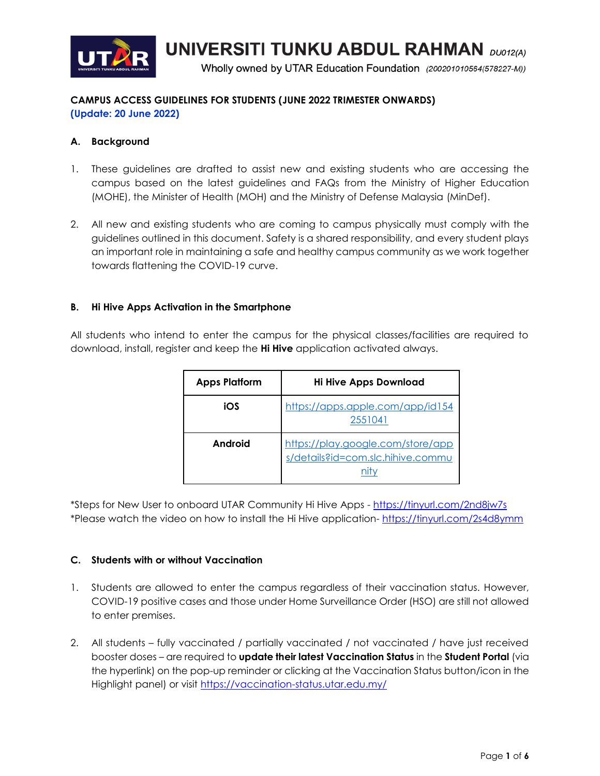

**UNIVERSITI TUNKU ABDUL RAHMAN** DU012(A)

Wholly owned by UTAR Education Foundation (200201010564(578227-M))

# **CAMPUS ACCESS GUIDELINES FOR STUDENTS (JUNE 2022 TRIMESTER ONWARDS) (Update: 20 June 2022)**

## **A. Background**

- 1. These guidelines are drafted to assist new and existing students who are accessing the campus based on the latest guidelines and FAQs from the Ministry of Higher Education (MOHE), the Minister of Health (MOH) and the Ministry of Defense Malaysia (MinDef).
- 2. All new and existing students who are coming to campus physically must comply with the guidelines outlined in this document. Safety is a shared responsibility, and every student plays an important role in maintaining a safe and healthy campus community as we work together towards flattening the COVID-19 curve.

## **B. Hi Hive Apps Activation in the Smartphone**

All students who intend to enter the campus for the physical classes/facilities are required to download, install, register and keep the **Hi Hive** application activated always.

| <b>Apps Platform</b> | <b>Hi Hive Apps Download</b>                                           |  |
|----------------------|------------------------------------------------------------------------|--|
| iOS                  | https://apps.apple.com/app/id154<br>2551041                            |  |
| Android              | https://play.google.com/store/app<br>s/details?id=com.slc.hihive.commu |  |

\*Steps for New User to onboard UTAR Community Hi Hive Apps - <https://tinyurl.com/2nd8jw7s> \*Please watch the video on how to install the Hi Hive application- <https://tinyurl.com/2s4d8ymm>

## **C. Students with or without Vaccination**

- 1. Students are allowed to enter the campus regardless of their vaccination status. However, COVID-19 positive cases and those under Home Surveillance Order (HSO) are still not allowed to enter premises.
- 2. All students fully vaccinated / partially vaccinated / not vaccinated / have just received booster doses – are required to **update their latest Vaccination Status** in the **Student Portal** (via the hyperlink) on the pop-up reminder or clicking at the Vaccination Status button/icon in the Highlight panel) or visit<https://vaccination-status.utar.edu.my/>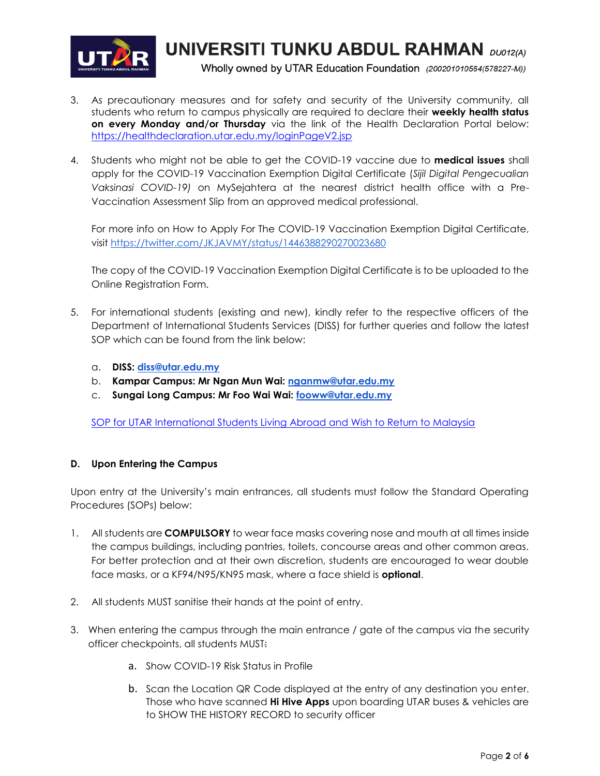

**UNIVERSITI TUNKU ABDUL RAHMAN** DU012(A)

Wholly owned by UTAR Education Foundation (200201010564(578227-M))

- 3. As precautionary measures and for safety and security of the University community, all students who return to campus physically are required to declare their **weekly health status on every Monday and/or Thursday** via the link of the Health Declaration Portal below: [https://healthdeclaration.utar.edu.my/loginPageV2.jsp](file://///users/tonykhor/Desktop/Return2Campus/24%20Feb%202022/As%20precautionary%20measures%20and%20for%20safety%20and%20security%20of%20the%20University%20community,%20all%20students%20who%20return%20to%20campus%20physically%20are%20required%20to%20declare%20their%20weekly%20health%20status%20on%20every%20Monday%20between%208.30am%20to%205.30pm%20via%20the%20link%20of%20the%20Health%20Declaration%20Portal%20below:%20https:/healthdeclaration.utar.edu.my/loginPageV2.jsp)
- 4. Students who might not be able to get the COVID-19 vaccine due to **medical issues** shall apply for the COVID-19 Vaccination Exemption Digital Certificate (*Sijil Digital Pengecualian Vaksinasi COVID-19)* on MySejahtera at the nearest district health office with a Pre-Vaccination Assessment Slip from an approved medical professional.

For more info on How to Apply For The COVID-19 Vaccination Exemption Digital Certificate, visi[t](https://twitter.com/JKJAVMY/status/1446388290270023680) <https://twitter.com/JKJAVMY/status/1446388290270023680>

The copy of the COVID-19 Vaccination Exemption Digital Certificate is to be uploaded to the Online Registration Form.

- 5. For international students (existing and new), kindly refer to the respective officers of the Department of International Students Services (DISS) for further queries and follow the latest SOP which can be found from the link below:
	- a. **DISS: [diss@utar.edu.my](mailto:diss@utar.edu.my)**
	- b. **Kampar Campus: Mr Ngan Mun Wai: [nganmw@utar.edu.my](mailto:nganmw@utar.edu.my)**
	- c. **Sungai Long Campus: Mr Foo Wai Wai: [fooww@utar.edu.my](mailto:fooww@utar.edu.my)**

[SOP for UTAR International Students Living Abroad and Wish to Return to Malaysia](https://dccpr.utar.edu.my/COVID-19-News-Announcements.php)

## **D. Upon Entering the Campus**

Upon entry at the University's main entrances, all students must follow the Standard Operating Procedures (SOPs) below:

- 1. All students are **COMPULSORY** to wear face masks covering nose and mouth at all times inside the campus buildings, including pantries, toilets, concourse areas and other common areas. For better protection and at their own discretion, students are encouraged to wear double face masks, or a KF94/N95/KN95 mask, where a face shield is **optional**.
- 2. All students MUST sanitise their hands at the point of entry.
- 3. When entering the campus through the main entrance / gate of the campus via the security officer checkpoints, all students MUST:
	- a. Show COVID-19 Risk Status in Profile
	- b. Scan the Location QR Code displayed at the entry of any destination you enter. Those who have scanned **Hi Hive Apps** upon boarding UTAR buses & vehicles are to SHOW THE HISTORY RECORD to security officer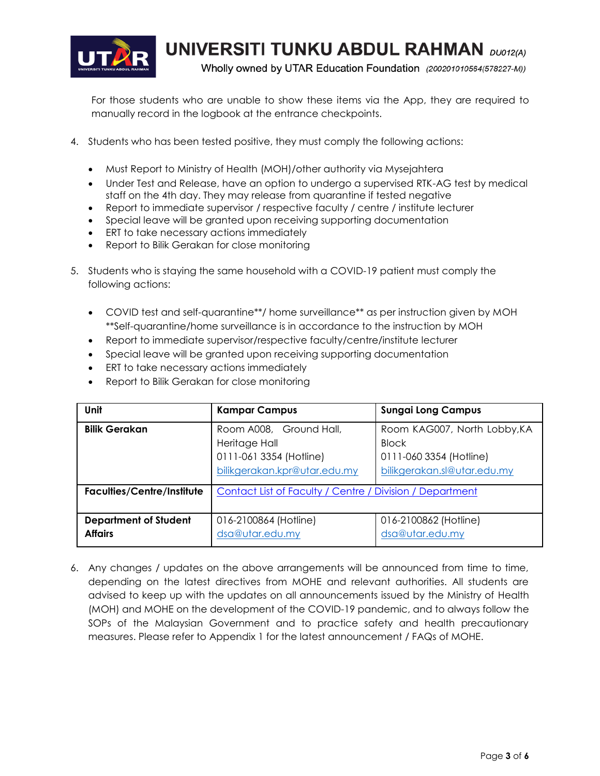

**UNIVERSITI TUNKU ABDUL RAHMAN DUO12(A)** 

Wholly owned by UTAR Education Foundation (200201010564(578227-M))

For those students who are unable to show these items via the App, they are required to manually record in the logbook at the entrance checkpoints.

- 4. Students who has been tested positive, they must comply the following actions:
	- Must Report to Ministry of Health (MOH)/other authority via Mysejahtera
	- Under Test and Release, have an option to undergo a supervised RTK-AG test by medical staff on the 4th day. They may release from quarantine if tested negative
	- Report to immediate supervisor / respective faculty / centre / institute lecturer
	- Special leave will be granted upon receiving supporting documentation
	- **•** ERT to take necessary actions immediately
	- Report to Bilik Gerakan for close monitoring
- 5. Students who is staying the same household with a COVID-19 patient must comply the following actions:
	- COVID test and self-quarantine\*\*/ home surveillance\*\* as per instruction given by MOH \*\*Self-quarantine/home surveillance is in accordance to the instruction by MOH
	- Report to immediate supervisor/respective faculty/centre/institute lecturer
	- Special leave will be granted upon receiving supporting documentation
	- **•** ERT to take necessary actions immediately
	- Report to Bilik Gerakan for close monitoring

| Unit                              | <b>Kampar Campus</b>                                     | <b>Sungai Long Campus</b>    |
|-----------------------------------|----------------------------------------------------------|------------------------------|
| <b>Bilik Gerakan</b>              | Room A008, Ground Hall,                                  | Room KAG007, North Lobby, KA |
|                                   | Heritage Hall                                            | <b>Block</b>                 |
|                                   | 0111-061 3354 (Hotline)                                  | 0111-060 3354 (Hotline)      |
|                                   | bilikgerakan.kpr@utar.edu.my                             | bilikgerakan.sl@utar.edu.my  |
| <b>Faculties/Centre/Institute</b> | Contact List of Faculty / Centre / Division / Department |                              |
| <b>Department of Student</b>      | 016-2100864 (Hotline)                                    | 016-2100862 (Hotline)        |
| <b>Affairs</b>                    | dsa@utar.edu.my                                          | dsa@utar.edu.my              |

6. Any changes / updates on the above arrangements will be announced from time to time, depending on the latest directives from MOHE and relevant authorities. All students are advised to keep up with the updates on all announcements issued by the Ministry of Health (MOH) and MOHE on the development of the COVID-19 pandemic, and to always follow the SOPs of the Malaysian Government and to practice safety and health precautionary measures. Please refer to Appendix 1 for the latest announcement / FAQs of MOHE.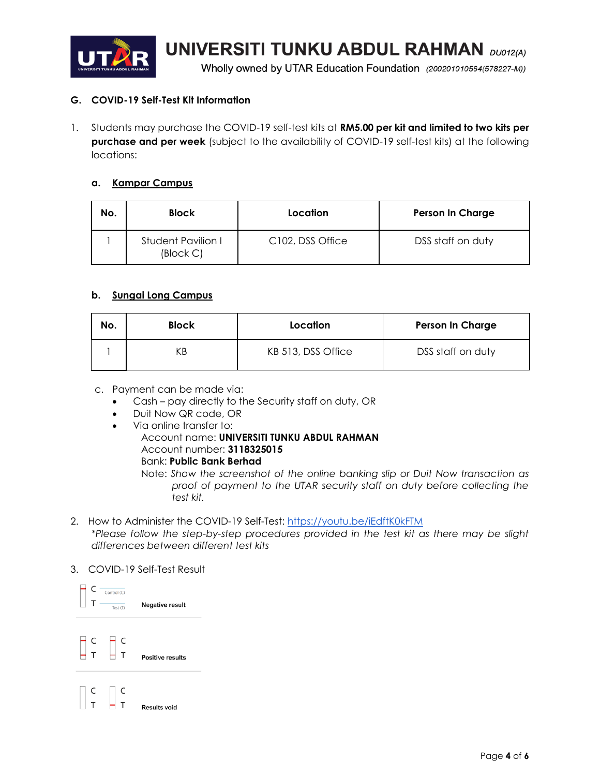

**UNIVERSITI TUNKU ABDUL RAHMAN DUO12(A)** 

Wholly owned by UTAR Education Foundation (200201010564(578227-M))

## **G. COVID-19 Self-Test Kit Information**

1. Students may purchase the COVID-19 self-test kits at **RM5.00 per kit and limited to two kits per purchase and per week** (subject to the availability of COVID-19 self-test kits) at the following locations:

## **a. Kampar Campus**

| No. | <b>Block</b>                                         | Location                      | <b>Person In Charge</b> |
|-----|------------------------------------------------------|-------------------------------|-------------------------|
|     | Student Pavilion I<br>$\left(\text{Block } C\right)$ | C <sub>102</sub> , DSS Office | DSS staff on duty       |

## **b. Sungai Long Campus**

| No. | <b>Block</b> | Location           | <b>Person In Charge</b> |
|-----|--------------|--------------------|-------------------------|
|     |              | KB 513, DSS Office | DSS staff on duty       |

- c. Payment can be made via:
	- Cash pay directly to the Security staff on duty, OR
	- Duit Now QR code, OR
	- Via online transfer to:
		- Account name: **UNIVERSITI TUNKU ABDUL RAHMAN** Account number: **3118325015**

## Bank: **Public Bank Berhad**

Note: *Show the screenshot of the online banking slip or Duit Now transaction as proof of payment to the UTAR security staff on duty before collecting the test kit.*

2. How to Administer the COVID-19 Self-Test[:](https://youtu.be/iEdftK0kFTM) <https://youtu.be/iEdftK0kFTM> *\*Please follow the step-by-step procedures provided in the test kit as there may be slight differences between different test kits*

## 3. COVID-19 Self-Test Result

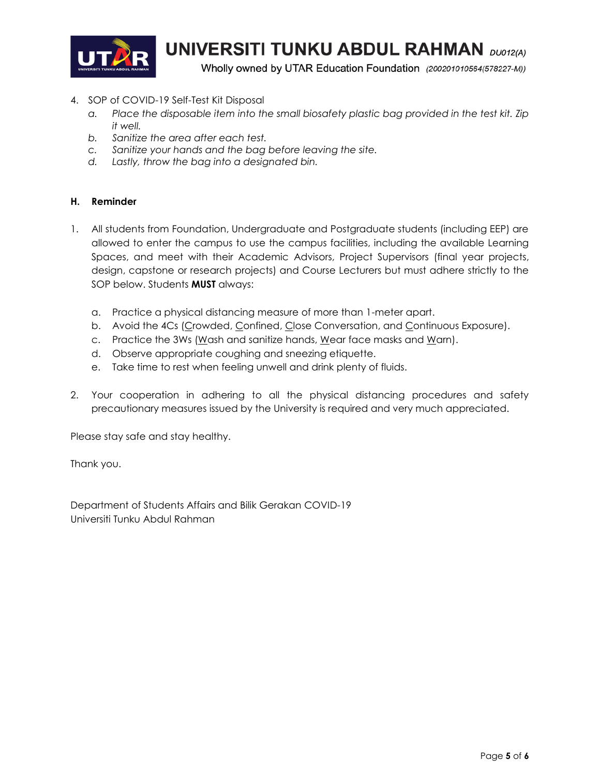

**UNIVERSITI TUNKU ABDUL RAHMAN** DU012(A)

Wholly owned by UTAR Education Foundation (200201010564(578227-M))

- 4. SOP of COVID-19 Self-Test Kit Disposal
	- *a. Place the disposable item into the small biosafety plastic bag provided in the test kit. Zip it well.*
	- *b. Sanitize the area after each test.*
	- *c. Sanitize your hands and the bag before leaving the site.*
	- *d. Lastly, throw the bag into a designated bin.*

## **H. Reminder**

- 1. All students from Foundation, Undergraduate and Postgraduate students (including EEP) are allowed to enter the campus to use the campus facilities, including the available Learning Spaces, and meet with their Academic Advisors, Project Supervisors (final year projects, design, capstone or research projects) and Course Lecturers but must adhere strictly to the SOP below. Students **MUST** always:
	- a. Practice a physical distancing measure of more than 1-meter apart.
	- b. Avoid the 4Cs (Crowded, Confined, Close Conversation, and Continuous Exposure).
	- c. Practice the 3Ws (Wash and sanitize hands, Wear face masks and Warn).
	- d. Observe appropriate coughing and sneezing etiquette.
	- e. Take time to rest when feeling unwell and drink plenty of fluids.
- 2. Your cooperation in adhering to all the physical distancing procedures and safety precautionary measures issued by the University is required and very much appreciated.

Please stay safe and stay healthy.

Thank you.

Department of Students Affairs and Bilik Gerakan COVID-19 Universiti Tunku Abdul Rahman